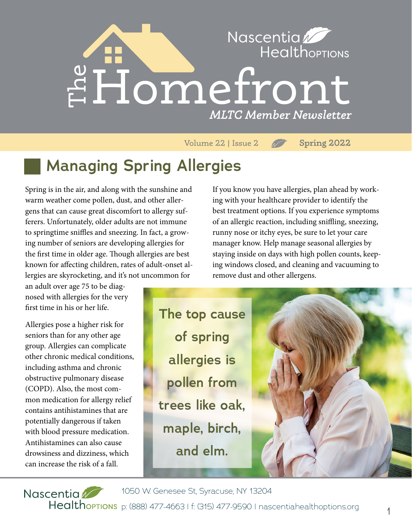

Volume 22 | Issue 2 **Spring 2022**

# **Managing Spring Allergies**

Spring is in the air, and along with the sunshine and warm weather come pollen, dust, and other allergens that can cause great discomfort to allergy sufferers. Unfortunately, older adults are not immune to springtime sniffles and sneezing. In fact, a growing number of seniors are developing allergies for the first time in older age. Though allergies are best known for affecting children, rates of adult-onset allergies are skyrocketing, and it's not uncommon for

an adult over age 75 to be diagnosed with allergies for the very first time in his or her life.

Allergies pose a higher risk for seniors than for any other age group. Allergies can complicate other chronic medical conditions, including asthma and chronic obstructive pulmonary disease (COPD). Also, the most common medication for allergy relief contains antihistamines that are potentially dangerous if taken with blood pressure medication. Antihistamines can also cause drowsiness and dizziness, which can increase the risk of a fall.

If you know you have allergies, plan ahead by working with your healthcare provider to identify the best treatment options. If you experience symptoms of an allergic reaction, including sniffling, sneezing, runny nose or itchy eyes, be sure to let your care manager know. Help manage seasonal allergies by staying inside on days with high pollen counts, keeping windows closed, and cleaning and vacuuming to remove dust and other allergens.

**The top cause of spring allergies is pollen from trees like oak, maple, birch, and elm.**



1050 W. Genesee St, Syracuse, NY 13204 Nascentia Healthoptions p: (888) 477-4663 | f: (315) 477-9590 | nascentiahealthoptions.org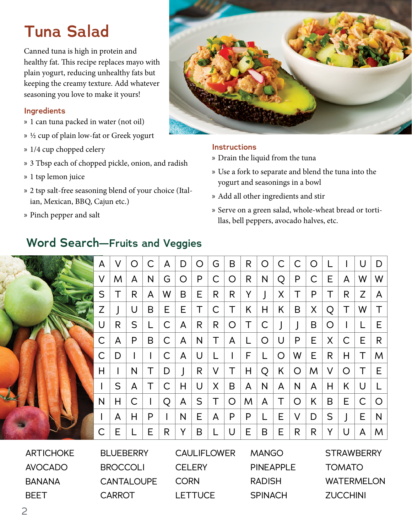# **Tuna Salad**

Canned tuna is high in protein and healthy fat. This recipe replaces mayo with plain yogurt, reducing unhealthy fats but keeping the creamy texture. Add whatever seasoning you love to make it yours!

#### **Ingredients**

- » 1 can tuna packed in water (not oil)
- » 1/2 cup of plain low-fat or Greek yogurt
- » 1/4 cup chopped celery
- » 3 Tbsp each of chopped pickle, onion, and radish
- » 1 tsp lemon juice
- » 2 tsp salt-free seasoning blend of your choice (Italian, Mexican, BBQ, Cajun etc.)
- » Pinch pepper and salt



#### **Instructions**

- » Drain the liquid from the tuna
- » Use a fork to separate and blend the tuna into the yogurt and seasonings in a bowl
- » Add all other ingredients and stir
- » Serve on a green salad, whole-wheat bread or tortillas, bell peppers, avocado halves, etc.

|            | A           | V           | $\circ$ | С | A | D            | O                                         | G | B            | $\mathsf{R}$ | O                                                           | $\mathsf{C}$ | С       | O |   |              | U                    | D |
|------------|-------------|-------------|---------|---|---|--------------|-------------------------------------------|---|--------------|--------------|-------------------------------------------------------------|--------------|---------|---|---|--------------|----------------------|---|
|            | V           | M           | A       | N | G | O            | P                                         | С | O            | R            | N                                                           | Q            | P       | C | Е | A            | W                    | W |
|            | S           | Τ           | R       | A | W | B            | Ε                                         | R | $\mathsf{R}$ | Y            |                                                             | X            | T       | P | Т | $\mathsf{R}$ | Z                    | A |
|            | Z           |             | U       | B | E | Е            | T                                         | С | Τ            | K            | Н                                                           | K            | B       | X | Q | Τ            | W                    |   |
|            | U           | R           | S       | L | С | A            | R                                         | R | O            | T            | С                                                           |              |         | B | O |              |                      | Е |
|            | С           | A           | P       | B | C | A            | N                                         |   | A            | L            | O                                                           | U            | P       | E | X | C            | E                    | R |
|            | $\mathsf C$ | D           |         | I | C | A            | U                                         |   |              | F            |                                                             | $\circ$      | W       | E | R | Η            | $\top$               | M |
|            | Н           |             | N       | Τ | D |              | R                                         | V | Τ            | Н            | Q                                                           | K            | $\circ$ | M | V | O            | Τ                    | Е |
|            |             | S           | A       | Τ | С | $\mathsf{H}$ | U                                         | X | B            | A            | N                                                           | A            | N       | A | H | K            | U                    |   |
|            | N           | Н           | С       |   | Q | A            | S                                         |   | O            | M            | A                                                           | Τ            | O       | K | B | E            | C                    | O |
|            |             | A           | Н       | P |   | N            | Е                                         | A | P            | P            | L                                                           | Е            | V       | D | S |              | Е                    | N |
|            | Ć           | Е           |         | Е | R | Y            | B                                         |   | U            | Е            | B                                                           | Е            | R       | R | Y | U            | A                    | M |
| ATICIIOLIF |             | DU LIEDEDDV |         |   |   |              | $C$ $\cup$ $E$ $E$ $D$ $\cup$ $E$ $E$ $D$ |   |              |              | $\lambda$ $\lambda$ $\lambda$ $\lambda$ $\lambda$ $\lambda$ |              |         |   |   |              | $CTD$ $N$ $DCDD$ $N$ |   |

## **Word Search—Fruits and Veggies**

ARTICHOKE AVOCADO BANANA BEET

BLUEBERRY BROCCOLI **CANTALOUPE CARROT** 

**CAULIFLOWER CELERY** CORN **LETTUCE** 

MANGO PINEAPPLE RADISH **SPINACH** 

**STRAWBERRY** TOMATO WATERMELON **ZUCCHINI**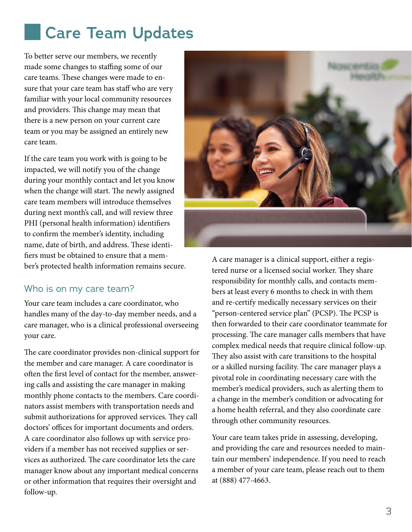# **Care Team Updates**

To better serve our members, we recently made some changes to staffing some of our care teams. These changes were made to ensure that your care team has staff who are very familiar with your local community resources and providers. This change may mean that there is a new person on your current care team or you may be assigned an entirely new care team.

If the care team you work with is going to be impacted, we will notify you of the change during your monthly contact and let you know when the change will start. The newly assigned care team members will introduce themselves during next month's call, and will review three PHI (personal health information) identifiers to confirm the member's identity, including name, date of birth, and address. These identifiers must be obtained to ensure that a member's protected health information remains secure.

#### Who is on my care team?

Your care team includes a care coordinator, who handles many of the day-to-day member needs, and a care manager, who is a clinical professional overseeing your care.

The care coordinator provides non-clinical support for the member and care manager. A care coordinator is often the first level of contact for the member, answering calls and assisting the care manager in making monthly phone contacts to the members. Care coordinators assist members with transportation needs and submit authorizations for approved services. They call doctors' offices for important documents and orders. A care coordinator also follows up with service providers if a member has not received supplies or services as authorized. The care coordinator lets the care manager know about any important medical concerns or other information that requires their oversight and follow-up.



A care manager is a clinical support, either a registered nurse or a licensed social worker. They share responsibility for monthly calls, and contacts members at least every 6 months to check in with them and re-certify medically necessary services on their "person-centered service plan" (PCSP). The PCSP is then forwarded to their care coordinator teammate for processing. The care manager calls members that have complex medical needs that require clinical follow-up. They also assist with care transitions to the hospital or a skilled nursing facility. The care manager plays a pivotal role in coordinating necessary care with the member's medical providers, such as alerting them to a change in the member's condition or advocating for a home health referral, and they also coordinate care through other community resources.

Your care team takes pride in assessing, developing, and providing the care and resources needed to maintain our members' independence. If you need to reach a member of your care team, please reach out to them at (888) 477-4663.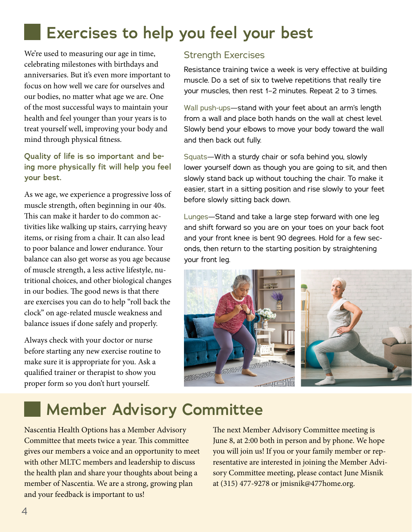# **Exercises to help you feel your best**

We're used to measuring our age in time, celebrating milestones with birthdays and anniversaries. But it's even more important to focus on how well we care for ourselves and our bodies, no matter what age we are. One of the most successful ways to maintain your health and feel younger than your years is to treat yourself well, improving your body and mind through physical fitness.

**Quality of life is so important and being more physically fit will help you feel your best.**

As we age, we experience a progressive loss of muscle strength, often beginning in our 40s. This can make it harder to do common activities like walking up stairs, carrying heavy items, or rising from a chair. It can also lead to poor balance and lower endurance. Your balance can also get worse as you age because of muscle strength, a less active lifestyle, nutritional choices, and other biological changes in our bodies. The good news is that there are exercises you can do to help "roll back the clock" on age-related muscle weakness and balance issues if done safely and properly.

Always check with your doctor or nurse before starting any new exercise routine to make sure it is appropriate for you. Ask a qualified trainer or therapist to show you proper form so you don't hurt yourself.

### Strength Exercises

Resistance training twice a week is very effective at building muscle. Do a set of six to twelve repetitions that really tire your muscles, then rest 1–2 minutes. Repeat 2 to 3 times.

Wall push-ups—stand with your feet about an arm's length from a wall and place both hands on the wall at chest level. Slowly bend your elbows to move your body toward the wall and then back out fully.

Squats—With a sturdy chair or sofa behind you, slowly lower yourself down as though you are going to sit, and then slowly stand back up without touching the chair. To make it easier, start in a sitting position and rise slowly to your feet before slowly sitting back down.

Lunges—Stand and take a large step forward with one leg and shift forward so you are on your toes on your back foot and your front knee is bent 90 degrees. Hold for a few seconds, then return to the starting position by straightening your front leg.



# **Member Advisory Committee**

Nascentia Health Options has a Member Advisory Committee that meets twice a year. This committee gives our members a voice and an opportunity to meet with other MLTC members and leadership to discuss the health plan and share your thoughts about being a member of Nascentia. We are a strong, growing plan and your feedback is important to us!

The next Member Advisory Committee meeting is June 8, at 2:00 both in person and by phone. We hope you will join us! If you or your family member or representative are interested in joining the Member Advisory Committee meeting, please contact June Misnik at (315) 477-9278 or jmisnik@477home.org.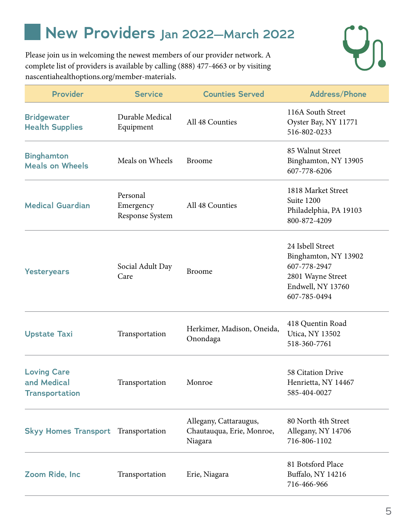# **New Providers Jan 2022—March 2022**

Please join us in welcoming the newest members of our provider network. A complete list of providers is available by calling (888) 477-4663 or by visiting nascentiahealthoptions.org/member-materials.



| <b>Provider</b>                                            | <b>Service</b>                           | <b>Counties Served</b>                                         | <b>Address/Phone</b>                                                                                               |  |  |
|------------------------------------------------------------|------------------------------------------|----------------------------------------------------------------|--------------------------------------------------------------------------------------------------------------------|--|--|
| <b>Bridgewater</b><br><b>Health Supplies</b>               | Durable Medical<br>Equipment             | All 48 Counties                                                | 116A South Street<br>Oyster Bay, NY 11771<br>516-802-0233                                                          |  |  |
| <b>Binghamton</b><br><b>Meals on Wheels</b>                | Meals on Wheels                          | <b>Broome</b>                                                  | 85 Walnut Street<br>Binghamton, NY 13905<br>607-778-6206                                                           |  |  |
| <b>Medical Guardian</b>                                    | Personal<br>Emergency<br>Response System | All 48 Counties                                                | 1818 Market Street<br>Suite 1200<br>Philadelphia, PA 19103<br>800-872-4209                                         |  |  |
| <b>Yesteryears</b>                                         | Social Adult Day<br>Care                 | <b>Broome</b>                                                  | 24 Isbell Street<br>Binghamton, NY 13902<br>607-778-2947<br>2801 Wayne Street<br>Endwell, NY 13760<br>607-785-0494 |  |  |
| <b>Upstate Taxi</b>                                        | Transportation                           | Herkimer, Madison, Oneida,<br>Onondaga                         | 418 Quentin Road<br>Utica, NY 13502<br>518-360-7761                                                                |  |  |
| <b>Loving Care</b><br>and Medical<br><b>Transportation</b> | Transportation                           | Monroe                                                         | 58 Citation Drive<br>Henrietta, NY 14467<br>585-404-0027                                                           |  |  |
| <b>Skyy Homes Transport</b> Transportation                 |                                          | Allegany, Cattaraugus,<br>Chautauqua, Erie, Monroe,<br>Niagara | 80 North 4th Street<br>Allegany, NY 14706<br>716-806-1102                                                          |  |  |
| Zoom Ride, Inc.                                            | Transportation                           | Erie, Niagara                                                  | 81 Botsford Place<br>Buffalo, NY 14216<br>716-466-966                                                              |  |  |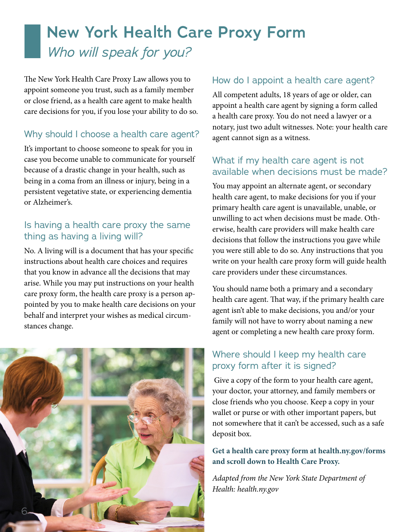# **New York Health Care Proxy Form** *Who will speak for you?*

The New York Health Care Proxy Law allows you to appoint someone you trust, such as a family member or close friend, as a health care agent to make health care decisions for you, if you lose your ability to do so.

### Why should I choose a health care agent?

It's important to choose someone to speak for you in case you become unable to communicate for yourself because of a drastic change in your health, such as being in a coma from an illness or injury, being in a persistent vegetative state, or experiencing dementia or Alzheimer's.

## Is having a health care proxy the same thing as having a living will?

No. A living will is a document that has your specific instructions about health care choices and requires that you know in advance all the decisions that may arise. While you may put instructions on your health care proxy form, the health care proxy is a person appointed by you to make health care decisions on your behalf and interpret your wishes as medical circumstances change.



## How do I appoint a health care agent?

All competent adults, 18 years of age or older, can appoint a health care agent by signing a form called a health care proxy. You do not need a lawyer or a notary, just two adult witnesses. Note: your health care agent cannot sign as a witness.

### What if my health care agent is not available when decisions must be made?

You may appoint an alternate agent, or secondary health care agent, to make decisions for you if your primary health care agent is unavailable, unable, or unwilling to act when decisions must be made. Otherwise, health care providers will make health care decisions that follow the instructions you gave while you were still able to do so. Any instructions that you write on your health care proxy form will guide health care providers under these circumstances.

You should name both a primary and a secondary health care agent. That way, if the primary health care agent isn't able to make decisions, you and/or your family will not have to worry about naming a new agent or completing a new health care proxy form.

## Where should I keep my health care proxy form after it is signed?

 Give a copy of the form to your health care agent, your doctor, your attorney, and family members or close friends who you choose. Keep a copy in your wallet or purse or with other important papers, but not somewhere that it can't be accessed, such as a safe deposit box.

#### **Get a health care proxy form at health.ny.gov/forms and scroll down to Health Care Proxy.**

*Adapted from the New York State Department of Health: health.ny.gov*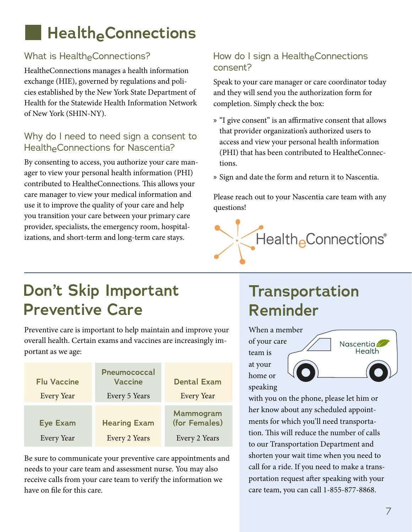# **Health<sub>e</sub>Connections**

## What is HealtheConnections?

HealtheConnections manages a health information exchange (HIE), governed by regulations and policies established by the New York State Department of Health for the Statewide Health Information Network of New York (SHIN-NY).

## Why do I need to need sign a consent to HealtheConnections for Nascentia?

By consenting to access, you authorize your care manager to view your personal health information (PHI) contributed to HealtheConnections. This allows your care manager to view your medical information and use it to improve the quality of your care and help you transition your care between your primary care provider, specialists, the emergency room, hospitalizations, and short-term and long-term care stays.

## How do I sign a HealtheConnections consent?

Speak to your care manager or care coordinator today and they will send you the authorization form for completion. Simply check the box:

- » "I give consent" is an affirmative consent that allows that provider organization's authorized users to access and view your personal health information (PHI) that has been contributed to HealtheConnections.
- » Sign and date the form and return it to Nascentia.

Please reach out to your Nascentia care team with any questions!

# **Don't Skip Important Preventive Care**

Preventive care is important to help maintain and improve your overall health. Certain exams and vaccines are increasingly important as we age:

| <b>Flu Vaccine</b><br>Every Year | Pneumococcal<br><b>Vaccine</b><br>Every 5 Years | <b>Dental Exam</b><br><b>Every Year</b>     |  |  |  |  |
|----------------------------------|-------------------------------------------------|---------------------------------------------|--|--|--|--|
| <b>Eye Exam</b><br>Every Year    | <b>Hearing Exam</b><br>Every 2 Years            | Mammogram<br>(for Females)<br>Every 2 Years |  |  |  |  |

Be sure to communicate your preventive care appointments and needs to your care team and assessment nurse. You may also receive calls from your care team to verify the information we have on file for this care.

# **Transportation Reminder**



HealtheConnections®

with you on the phone, please let him or her know about any scheduled appointments for which you'll need transportation. This will reduce the number of calls to our Transportation Department and shorten your wait time when you need to call for a ride. If you need to make a transportation request after speaking with your care team, you can call 1-855-877-8868.